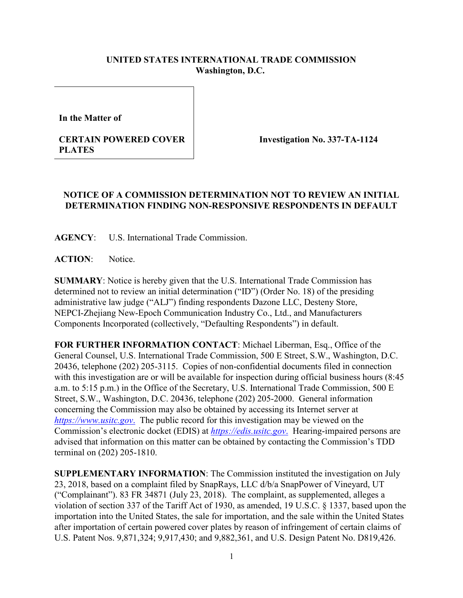## **UNITED STATES INTERNATIONAL TRADE COMMISSION Washington, D.C.**

**In the Matter of**

## **CERTAIN POWERED COVER PLATES**

**Investigation No. 337-TA-1124**

## **NOTICE OF A COMMISSION DETERMINATION NOT TO REVIEW AN INITIAL DETERMINATION FINDING NON-RESPONSIVE RESPONDENTS IN DEFAULT**

**AGENCY**: U.S. International Trade Commission.

**ACTION**: Notice.

**SUMMARY**: Notice is hereby given that the U.S. International Trade Commission has determined not to review an initial determination ("ID") (Order No. 18) of the presiding administrative law judge ("ALJ") finding respondents Dazone LLC, Desteny Store, NEPCIZhejiang New-Epoch Communication Industry Co., Ltd., and Manufacturers Components Incorporated (collectively, "Defaulting Respondents") in default.

**FOR FURTHER INFORMATION CONTACT**: Michael Liberman, Esq., Office of the General Counsel, U.S. International Trade Commission, 500 E Street, S.W., Washington, D.C. 20436, telephone (202) 205-3115. Copies of non-confidential documents filed in connection with this investigation are or will be available for inspection during official business hours (8:45 a.m. to 5:15 p.m.) in the Office of the Secretary, U.S. International Trade Commission, 500 E Street, S.W., Washington, D.C. 20436, telephone (202) 205-2000. General information concerning the Commission may also be obtained by accessing its Internet server at *[https://www.usitc.gov](https://www.usitc.gov./)*. The public record for this investigation may be viewed on the Commission's electronic docket (EDIS) at *[https://edis.usitc.gov](https://edis.usitc.gov./)*. Hearing-impaired persons are advised that information on this matter can be obtained by contacting the Commission's TDD terminal on (202) 205-1810.

**SUPPLEMENTARY INFORMATION**: The Commission instituted the investigation on July 23, 2018, based on a complaint filed by SnapRays, LLC d/b/a SnapPower of Vineyard, UT ("Complainant"). 83 FR 34871 (July 23, 2018). The complaint, as supplemented, alleges a violation of section 337 of the Tariff Act of 1930, as amended, 19 U.S.C. § 1337, based upon the importation into the United States, the sale for importation, and the sale within the United States after importation of certain powered cover plates by reason of infringement of certain claims of U.S. Patent Nos. 9,871,324; 9,917,430; and 9,882,361, and U.S. Design Patent No. D819,426.